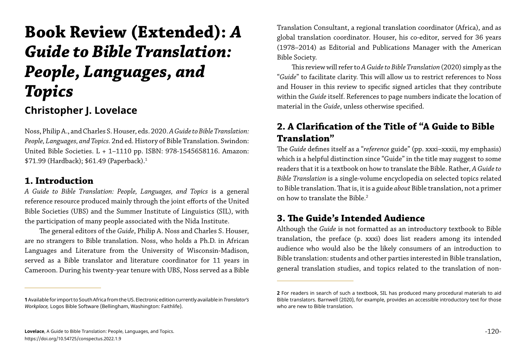Noss, Philip A., and Charles S. Houser, eds. 2020. *A Guide to Bible Translation: People, Languages, and Topics.* 2nd ed. History of Bible Translation. Swindon: United Bible Societies. L + 1–1110 pp. ISBN: 978-1545658116. Amazon: \$71.99 (Hardback); \$61.49 (Paperback).<sup>1</sup>

# **Book Review (Extended):** *A Guide to Bible Translation: People, Languages, and Topics*

# **Christopher J. Lovelace**

#### **1. Introduction**

*A Guide to Bible Translation: People, Languages, and Topics* is a general reference resource produced mainly through the joint efforts of the United Bible Societies (UBS) and the Summer Institute of Linguistics (SIL), with the participation of many people associated with the Nida Institute.

The *Guide* defines itself as a "*reference* guide" (pp. xxxi–xxxii, my emphasis) which is a helpful distinction since "Guide" in the title may suggest to some readers that it is a textbook on how to translate the Bible. Rather, *A Guide to Bible Translation* is a single-volume encyclopedia on selected topics related to Bible translation. That is, it is a guide *about* Bible translation, not a primer on how to translate the Bible.<sup>2</sup>

The general editors of the *Guide*, Philip A. Noss and Charles S. Houser, are no strangers to Bible translation. Noss, who holds a Ph.D. in African Languages and Literature from the University of Wisconsin-Madison, served as a Bible translator and literature coordinator for 11 years in Cameroon. During his twenty-year tenure with UBS, Noss served as a Bible Translation Consultant, a regional translation coordinator (Africa), and as global translation coordinator. Houser, his co-editor, served for 36 years (1978–2014) as Editorial and Publications Manager with the American Bible Society.

This review will refer to *A Guide to Bible Translation* (2020) simply as the "*Guide*" to facilitate clarity. This will allow us to restrict references to Noss and Houser in this review to specific signed articles that they contribute within the *Guide* itself. References to page numbers indicate the location of material in the *Guide*, unless otherwise specified.

# **2. A Clarification of the Title of "A Guide to Bible Translation"**

# **3. The Guide's Intended Audience**

Although the *Guide* is not formatted as an introductory textbook to Bible translation, the preface (p. xxxi) does list readers among its intended audience who would also be the likely consumers of an introduction to Bible translation: students and other parties interested in Bible translation, general translation studies, and topics related to the translation of non-

**2** For readers in search of such a textbook, SIL has produced many procedural materials to aid Bible translators. Barnwell (2020), for example, provides an accessible introductory text for those

**<sup>1</sup>** Available for import to South Africa from the US. Electronic edition currently available in *Translator's Workplace,* Logos Bible Software (Bellingham, Washington: Faithlife).

who are new to Bible translation.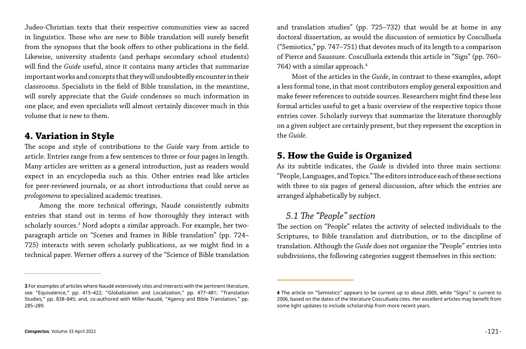Judeo-Christian texts that their respective communities view as sacred in linguistics. Those who are new to Bible translation will surely benefit from the synopses that the book offers to other publications in the field. Likewise, university students (and perhaps secondary school students) will find the *Guide* useful, since it contains many articles that summarize important works and concepts that they will undoubtedly encounter in their classrooms. Specialists in the field of Bible translation, in the meantime, will surely appreciate that the *Guide* condenses so much information in one place; and even specialists will almost certainly discover much in this volume that is new to them.

#### **4. Variation in Style**

and translation studies" (pp. 725–732) that would be at home in any doctoral dissertation, as would the discussion of semiotics by Cosculluela ("Semiotics," pp. 747–751) that devotes much of its length to a comparison of Pierce and Saussure. Cosculluela extends this article in "Sign" (pp. 760– 764) with a similar approach.<sup>4</sup>

The scope and style of contributions to the *Guide* vary from article to article. Entries range from a few sentences to three or four pages in length. Many articles are written as a general introduction, just as readers would expect in an encyclopedia such as this. Other entries read like articles for peer-reviewed journals, or as short introductions that could serve as *prologomena* to specialized academic treatises.

Among the more technical offerings, Naudé consistently submits entries that stand out in terms of how thoroughly they interact with scholarly sources. $^3$  Nord adopts a similar approach. For example, her twoparagraph article on "Scenes and frames in Bible translation" (pp. 724– 725) interacts with seven scholarly publications, as we might find in a technical paper. Werner offers a survey of the "Science of Bible translation

Most of the articles in the *Guide*, in contrast to these examples, adopt a less formal tone, in that most contributors employ general exposition and make fewer references to outside sources. Researchers might find these less formal articles useful to get a basic overview of the respective topics those entries cover. Scholarly surveys that summarize the literature thoroughly on a given subject are certainly present, but they represent the exception in the *Guide*.

#### **5. How the Guide is Organized**

As its subtitle indicates, the *Guide* is divided into three main sections: "People, Languages, and Topics." The editors introduce each of these sections with three to six pages of general discussion, after which the entries are arranged alphabetically by subject.

*5.1 The "People" section* The section on "People" relates the activity of selected individuals to the Scriptures, to Bible translation and distribution, or to the discipline of translation. Although the *Guide* does not organize the "People" entries into subdivisions, the following categories suggest themselves in this section:

**4** The article on "Semiotics" appears to be current up to about 2005, while "Signs" is current to 2006, based on the dates of the literature Cosculluela cites. Her excellent articles may benefit from

**<sup>3</sup>** For examples of articles where Naudé extensively cites and interacts with the pertinent literature, see "Equivalence," pp. 415–422; "Globalization and Localization," pp. 477–481; "Translation Studies," pp. 838–845; and, co-authored with Miller-Naudé, "Agency and Bible Translation," pp. 285–289.

some light updates to include scholarship from more recent years.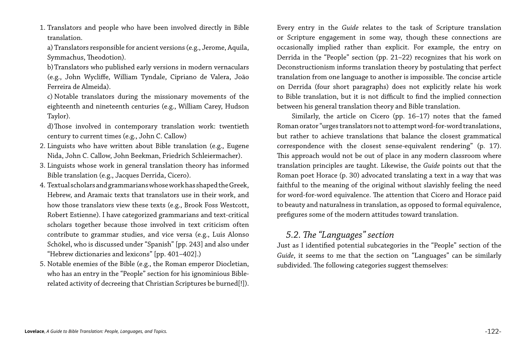1. Translators and people who have been involved directly in Bible translation.

a) Translators responsible for ancient versions (e.g., Jerome, Aquila, Symmachus, Theodotion).

b)Translators who published early versions in modern vernaculars (e.g., John Wycliffe, William Tyndale, Cipriano de Valera, João Ferreira de Almeida).

c) Notable translators during the missionary movements of the eighteenth and nineteenth centuries (e.g., William Carey, Hudson Taylor).

d)Those involved in contemporary translation work: twentieth century to current times (e.g., John C. Callow)

- 2. Linguists who have written about Bible translation (e.g., Eugene Nida, John C. Callow, John Beekman, Friedrich Schleiermacher).
- 3. Linguists whose work in general translation theory has informed Bible translation (e.g., Jacques Derrida, Cicero).
- 4. Textual scholars and grammarians whose work has shaped the Greek, Hebrew, and Aramaic texts that translators use in their work, and how those translators view these texts (e.g., Brook Foss Westcott, Robert Estienne). I have categorized grammarians and text-critical scholars together because those involved in text criticism often contribute to grammar studies, and vice versa (e.g., Luis Alonso Schökel, who is discussed under "Spanish" [pp. 243] and also under "Hebrew dictionaries and lexicons" [pp. 401–402].)
- 5. Notable enemies of the Bible (e.g., the Roman emperor Diocletian, who has an entry in the "People" section for his ignominious Biblerelated activity of decreeing that Christian Scriptures be burned[!]).

Every entry in the *Guide* relates to the task of Scripture translation or Scripture engagement in some way, though these connections are occasionally implied rather than explicit. For example, the entry on Derrida in the "People" section (pp. 21–22) recognizes that his work on Deconstructionism informs translation theory by postulating that perfect translation from one language to another is impossible. The concise article on Derrida (four short paragraphs) does not explicitly relate his work to Bible translation, but it is not difficult to find the implied connection between his general translation theory and Bible translation.

Similarly, the article on Cicero (pp. 16–17) notes that the famed Roman orator "urges translators not to attempt word-for-word translations, but rather to achieve translations that balance the closest grammatical correspondence with the closest sense-equivalent rendering" (p. 17). This approach would not be out of place in any modern classroom where translation principles are taught. Likewise, the *Guide* points out that the Roman poet Horace (p. 30) advocated translating a text in a way that was faithful to the meaning of the original without slavishly feeling the need for word-for-word equivalence. The attention that Cicero and Horace paid to beauty and naturalness in translation, as opposed to formal equivalence, prefigures some of the modern attitudes toward translation.

*5.2. The "Languages" section* Just as I identified potential subcategories in the "People" section of the *Guide*, it seems to me that the section on "Languages" can be similarly subdivided. The following categories suggest themselves: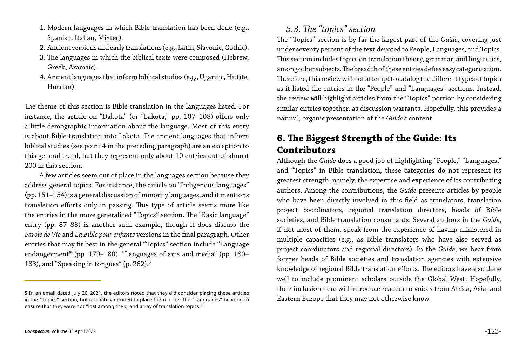- 1. Modern languages in which Bible translation has been done (e.g., Spanish, Italian, Mixtec).
- 2. Ancient versions and early translations (e.g., Latin, Slavonic, Gothic).
- 3. The languages in which the biblical texts were composed (Hebrew, Greek, Aramaic).
- 4. Ancient languages that inform biblical studies (e.g., Ugaritic, Hittite, Hurrian).

A few articles seem out of place in the languages section because they address general topics. For instance, the article on "Indigenous languages" (pp. 151–154) is a general discussion of minority languages, and it mentions translation efforts only in passing. This type of article seems more like the entries in the more generalized "Topics" section. The "Basic language" entry (pp. 87–88) is another such example, though it does discuss the *Parole de Vie* and *La Bible pour enfants* versions in the final paragraph. Other entries that may fit best in the general "Topics" section include "Language endangerment" (pp. 179–180), "Languages of arts and media" (pp. 180– 183), and "Speaking in tongues" (p. 262).<sup>5</sup>

The theme of this section is Bible translation in the languages listed. For instance, the article on "Dakota" (or "Lakota," pp. 107–108) offers only a little demographic information about the language. Most of this entry is about Bible translation into Lakota. The ancient languages that inform biblical studies (see point 4 in the preceding paragraph) are an exception to this general trend, but they represent only about 10 entries out of almost 200 in this section.

*5.3. The "topics" section* The "Topics" section is by far the largest part of the *Guide*, covering just under seventy percent of the text devoted to People, Languages, and Topics. This section includes topics on translation theory, grammar, and linguistics, among other subjects. The breadth of these entries defies easy categorization. Therefore, this review will not attempt to catalog the different types of topics as it listed the entries in the "People" and "Languages" sections. Instead, the review will highlight articles from the "Topics" portion by considering similar entries together, as discussion warrants. Hopefully, this provides a natural, organic presentation of the *Guide's* content.

# **6. The Biggest Strength of the Guide: Its Contributors**

Although the *Guide* does a good job of highlighting "People," "Languages," and "Topics" in Bible translation, these categories do not represent its greatest strength, namely, the expertise and experience of its contributing authors. Among the contributions, the *Guide* presents articles by people who have been directly involved in this field as translators, translation project coordinators, regional translation directors, heads of Bible societies, and Bible translation consultants. Several authors in the *Guide*, if not most of them, speak from the experience of having ministered in multiple capacities (e.g., as Bible translators who have also served as project coordinators and regional directors). In the *Guide*, we hear from former heads of Bible societies and translation agencies with extensive knowledge of regional Bible translation efforts. The editors have also done well to include prominent scholars outside the Global West. Hopefully, their inclusion here will introduce readers to voices from Africa, Asia, and Eastern Europe that they may not otherwise know.

**<sup>5</sup>** In an email dated July 20, 2021, the editors noted that they did consider placing these articles in the "Topics" section, but ultimately decided to place them under the "Languages" heading to ensure that they were not "lost among the grand array of translation topics."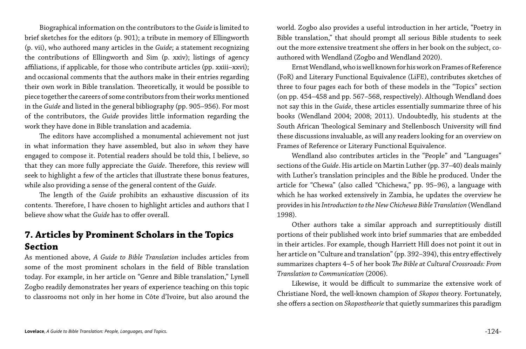Biographical information on the contributors to the *Guide* is limited to brief sketches for the editors (p. 901); a tribute in memory of Ellingworth (p. vii), who authored many articles in the *Guide*; a statement recognizing the contributions of Ellingworth and Sim (p. xxiv); listings of agency affiliations, if applicable, for those who contribute articles (pp. xxiii–xxvi); and occasional comments that the authors make in their entries regarding their own work in Bible translation. Theoretically, it would be possible to piece together the careers of some contributors from their works mentioned in the *Guide* and listed in the general bibliography (pp. 905–956). For most of the contributors, the *Guide* provides little information regarding the work they have done in Bible translation and academia.

The editors have accomplished a monumental achievement not just in what information they have assembled, but also in *whom* they have engaged to compose it. Potential readers should be told this, I believe, so that they can more fully appreciate the *Guide*. Therefore, this review will seek to highlight a few of the articles that illustrate these bonus features, while also providing a sense of the general content of the *Guide*.

The length of the *Guide* prohibits an exhaustive discussion of its contents. Therefore, I have chosen to highlight articles and authors that I believe show what the *Guide* has to offer overall.

#### **7. Articles by Prominent Scholars in the Topics Section**

As mentioned above, *A Guide to Bible Translation* includes articles from some of the most prominent scholars in the field of Bible translation today. For example, in her article on "Genre and Bible translation," Lynell Zogbo readily demonstrates her years of experience teaching on this topic to classrooms not only in her home in Côte d'Ivoire, but also around the

world. Zogbo also provides a useful introduction in her article, "Poetry in Bible translation," that should prompt all serious Bible students to seek out the more extensive treatment she offers in her book on the subject, coauthored with Wendland (Zogbo and Wendland 2020).

Ernst Wendland, who is well known for his work on Frames of Reference (FoR) and Literary Functional Equivalence (LiFE), contributes sketches of three to four pages each for both of these models in the "Topics" section (on pp. 454–458 and pp. 567–568, respectively). Although Wendland does not say this in the *Guide*, these articles essentially summarize three of his books (Wendland 2004; 2008; 2011). Undoubtedly, his students at the South African Theological Seminary and Stellenbosch University will find these discussions invaluable, as will any readers looking for an overview on Frames of Reference or Literary Functional Equivalence.

Wendland also contributes articles in the "People" and "Languages" sections of the *Guide*. His article on Martin Luther (pp. 37–40) deals mainly with Luther's translation principles and the Bible he produced. Under the article for "Chewa" (also called "Chichewa," pp. 95–96), a language with which he has worked extensively in Zambia, he updates the overview he provides in his *Introduction to the New Chichewa Bible Translation* (Wendland 1998).

Other authors take a similar approach and surreptitiously distill portions of their published work into brief summaries that are embedded in their articles. For example, though Harriett Hill does not point it out in her article on "Culture and translation" (pp. 392–394), this entry effectively summarizes chapters 4–5 of her book *The Bible at Cultural Crossroads: From Translation to Communication* (2006).

Likewise, it would be difficult to summarize the extensive work of Christiane Nord, the well-known champion of *Skopos* theory. Fortunately, she offers a section on *Skopostheorie* that quietly summarizes this paradigm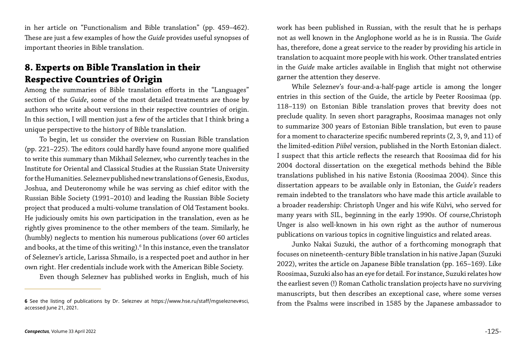in her article on "Functionalism and Bible translation" (pp. 459–462). These are just a few examples of how the *Guide* provides useful synopses of important theories in Bible translation.

#### **8. Experts on Bible Translation in their Respective Countries of Origin**

Among the summaries of Bible translation efforts in the "Languages" section of the *Guide*, some of the most detailed treatments are those by authors who write about versions in their respective countries of origin. In this section, I will mention just a few of the articles that I think bring a unique perspective to the history of Bible translation.

To begin, let us consider the overview on Russian Bible translation (pp. 221–225). The editors could hardly have found anyone more qualified to write this summary than Mikhail Seleznev, who currently teaches in the Institute for Oriental and Classical Studies at the Russian State University for the Humanities. Seleznev published new translations of Genesis, Exodus, Joshua, and Deuteronomy while he was serving as chief editor with the Russian Bible Society (1991–2010) and leading the Russian Bible Society project that produced a multi-volume translation of Old Testament books. He judiciously omits his own participation in the translation, even as he rightly gives prominence to the other members of the team. Similarly, he (humbly) neglects to mention his numerous publications (over 60 articles and books, at the time of this writing). $^{\rm 6}$  In this instance, even the translator of Seleznev's article, Larissa Shmailo, is a respected poet and author in her own right. Her credentials include work with the American Bible Society.

Even though Seleznev has published works in English, much of his

work has been published in Russian, with the result that he is perhaps not as well known in the Anglophone world as he is in Russia. The *Guide* has, therefore, done a great service to the reader by providing his article in translation to acquaint more people with his work. Other translated entries in the *Guide* make articles available in English that might not otherwise garner the attention they deserve.

While Seleznev's four-and-a-half-page article is among the longer entries in this section of the Guide, the article by Peeter Roosimaa (pp. 118–119) on Estonian Bible translation proves that brevity does not preclude quality. In seven short paragraphs, Roosimaa manages not only to summarize 300 years of Estonian Bible translation, but even to pause for a moment to characterize specific numbered reprints (2, 3, 9, and 11) of the limited-edition *Piibel* version, published in the North Estonian dialect. I suspect that this article reflects the research that Roosimaa did for his 2004 doctoral dissertation on the exegetical methods behind the Bible translations published in his native Estonia (Roosimaa 2004). Since this dissertation appears to be available only in Estonian, the *Guide's* readers remain indebted to the translators who have made this article available to a broader readership: Christoph Unger and his wife Külvi, who served for many years with SIL, beginning in the early 1990s. Of course,Christoph Unger is also well-known in his own right as the author of numerous publications on various topics in cognitive linguistics and related areas.

Junko Nakai Suzuki, the author of a forthcoming monograph that focuses on nineteenth-century Bible translation in his native Japan (Suzuki 2022), writes the article on Japanese Bible translation (pp. 165–169). Like Roosimaa, Suzuki also has an eye for detail. For instance, Suzuki relates how the earliest seven (!) Roman Catholic translation projects have no surviving manuscripts, but then describes an exceptional case, where some verses from the Psalms were inscribed in 1585 by the Japanese ambassador to **<sup>6</sup>** See the listing of publications by Dr. Seleznev at https://www.hse.ru/staff/mgseleznev#sci,

accessed June 21, 2021.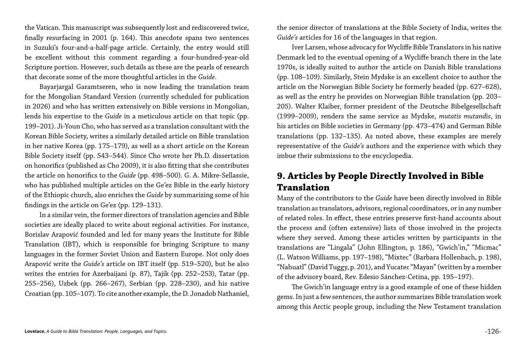the Vatican. This manuscript was subsequently lost and rediscovered twice, finally resurfacing in 2001 (p. 164). This anecdote spans two sentences in Suzuki's four-and-a-half-page article. Certainly, the entry would still be excellent without this comment regarding a four-hundred-year-old Scripture portion. However, such details as these are the pearls of research that decorate some of the more thoughtful articles in the *Guide*.

Bayarjargal Garamtseren, who is now leading the translation team for the Mongolian Standard Version (currently scheduled for publication in 2026) and who has written extensively on Bible versions in Mongolian, lends his expertise to the *Guide* in a meticulous article on that topic (pp. 199–201). Ji-Youn Cho, who has served as a translation consultant with the Korean Bible Society, writes a similarly detailed article on Bible translation in her native Korea (pp. 175–179), as well as a short article on the Korean Bible Society itself (pp. 543–544). Since Cho wrote her Ph.D. dissertation on honorifics (published as Cho 2009), it is also fitting that she contributes the article on honorifics to the *Guide* (pp. 498–500). G. A. Mikre-Sellassie, who has published multiple articles on the Ge'ez Bible in the early history of the Ethiopic church, also enriches the *Guide* by summarizing some of his findings in the article on Ge'ez (pp. 129–131).

In a similar vein, the former directors of translation agencies and Bible societies are ideally placed to write about regional activities. For instance, Borislav Arapović founded and led for many years the Institute for Bible Translation (IBT), which is responsible for bringing Scripture to many languages in the former Soviet Union and Eastern Europe. Not only does Arapović write the *Guide's* article on IBT itself (pp. 519–520), but he also writes the entries for Azerbaijani (p. 87), Tajik (pp. 252–253), Tatar (pp. 255–256), Uzbek (pp. 266–267), Serbian (pp. 228–230), and his native Croatian (pp. 105–107). To cite another example, the D. Jonadob Nathaniel,

the senior director of translations at the Bible Society of India, writes the *Guide's* articles for 16 of the languages in that region.

Iver Larsen, whose advocacy for Wycliffe Bible Translators in his native Denmark led to the eventual opening of a Wycliffe branch there in the late 1970s, is ideally suited to author the article on Danish Bible translations (pp. 108–109). Similarly, Stein Mydske is an excellent choice to author the article on the Norwegian Bible Society he formerly headed (pp. 627–628), as well as the entry he provides on Norwegian Bible translation (pp. 203– 205). Walter Klaiber, former president of the Deutsche Bibelgesellschaft (1999–2009), renders the same service as Mydske, *mutatis mutandis*, in his articles on Bible societies in Germany (pp. 473–474) and German Bible translations (pp. 132–135). As noted above, these examples are merely representative of the *Guide's* authors and the experience with which they imbue their submissions to the encyclopedia.

### **9. Articles by People Directly Involved in Bible Translation**

Many of the contributors to the *Guide* have been directly involved in Bible translation as translators, advisors, regional coordinators, or in any number of related roles. In effect, these entries preserve first-hand accounts about the process and (often extensive) lists of those involved in the projects where they served. Among these articles written by participants in the translations are "Lingala" (John Ellington, p. 186), "Gwich'in," "Micmac" (L. Watson Williams, pp. 197–198), "Mixtec" (Barbara Hollenbach, p. 198), "Nahuatl" (David Tuggy, p. 201), and Yucatec "Mayan" (written by a member of the advisory board, Rev. Edesio Sánchez-Cetina, pp. 195–197).

The Gwich'in language entry is a good example of one of these hidden gems. In just a few sentences, the author summarizes Bible translation work among this Arctic people group, including the New Testament translation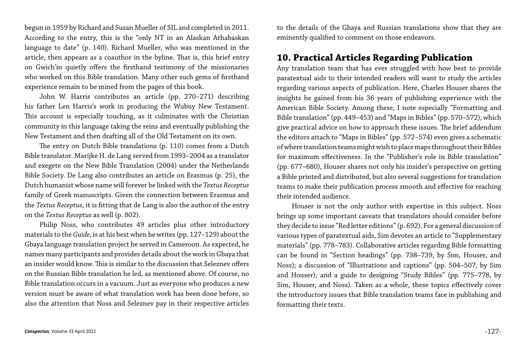begun in 1959 by Richard and Susan Mueller of SIL and completed in 2011. According to the entry, this is the "only NT in an Alaskan Athabaskan language to date" (p. 140). Richard Mueller, who was mentioned in the article, then appears as a coauthor in the byline. That is, this brief entry on Gwich'in quietly offers the firsthand testimony of the missionaries who worked on this Bible translation. Many other such gems of firsthand experience remain to be mined from the pages of this book.

John W. Harris contributes an article (pp. 270–271) describing his father Len Harris's work in producing the Wubuy New Testament. This account is especially touching, as it culminates with the Christian community in this language taking the reins and eventually publishing the New Testament and then drafting all of the Old Testament on its own.

The entry on Dutch Bible translations (p. 110) comes from a Dutch Bible translator. Marijke H. de Lang served from 1993–2004 as a translator and exegete on the New Bible Translation (2004) under the Netherlands Bible Society. De Lang also contributes an article on Erasmus (p. 25), the Dutch humanist whose name will forever be linked with the *Textus Receptus* family of Greek manuscripts. Given the connection between Erasmus and the *Textus Receptus*, it is fitting that de Lang is also the author of the entry on the *Textus Receptus* as well (p. 802).

Philip Noss, who contributes 49 articles plus other introductory materials to the *Guide*, is at his best when he writes (pp. 127–129) about the Gbaya language translation project he served in Cameroon. As expected, he names many participants and provides details about the work in Gbaya that an insider would know. This is similar to the discussion that Seleznev offers on the Russian Bible translation he led, as mentioned above. Of course, no Bible translation occurs in a vacuum. Just as everyone who produces a new version must be aware of what translation work has been done before, so also the attention that Noss and Seleznev pay in their respective articles

to the details of the Gbaya and Russian translations show that they are eminently qualified to comment on those endeavors.

# **10. Practical Articles Regarding Publication**

Any translation team that has ever struggled with how best to provide paratextual aids to their intended readers will want to study the articles regarding various aspects of publication. Here, Charles Houser shares the insights he gained from his 36 years of publishing experience with the American Bible Society. Among these, I note especially "Formatting and Bible translation" (pp. 449–453) and "Maps in Bibles" (pp. 570–572), which give practical advice on how to approach these issues. The brief addendum the editors attach to "Maps in Bibles" (pp. 572–574) even gives a schematic of where translation teams might wish to place maps throughout their Bibles for maximum effectiveness. In the "Publisher's role in Bible translation" (pp. 677–680), Houser shares not only his insider's perspective on getting a Bible printed and distributed, but also several suggestions for translation teams to make their publication process smooth and effective for reaching their intended audience.

Houser is not the only author with expertise in this subject. Noss brings up some important caveats that translators should consider before they decide to issue "Red letter editions" (p. 692). For a general discussion of various types of paratextual aids, Sim devotes an article to "Supplementary materials" (pp. 778–783). Collaborative articles regarding Bible formatting can be found in "Section headings" (pp. 738–739, by Sim, Houser, and Noss); a discussion of "Illustrations and captions" (pp. 504–507, by Sim and Houser); and a guide to designing "Study Bibles" (pp. 775–778, by Sim, Houser, and Noss). Taken as a whole, these topics effectively cover the introductory issues that Bible translation teams face in publishing and formatting their texts.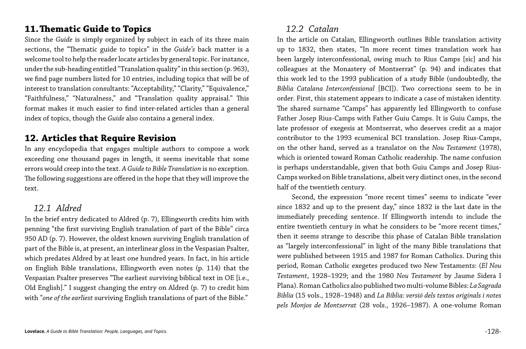# **11.Thematic Guide to Topics**

Since the *Guide* is simply organized by subject in each of its three main sections, the "Thematic guide to topics" in the *Guide's* back matter is a welcome tool to help the reader locate articles by general topic. For instance, under the sub-heading entitled "Translation quality" in this section (p. 963), we find page numbers listed for 10 entries, including topics that will be of interest to translation consultants: "Acceptability," "Clarity," "Equivalence," "Faithfulness," "Naturalness," and "Translation quality appraisal." This format makes it much easier to find inter-related articles than a general index of topics, though the *Guide* also contains a general index.

# **12. Articles that Require Revision**

In any encyclopedia that engages multiple authors to compose a work exceeding one thousand pages in length, it seems inevitable that some errors would creep into the text. *A Guide to Bible Translation* is no exception. The following suggestions are offered in the hope that they will improve the text.

#### *12.1 Aldred*

In the brief entry dedicated to Aldred (p. 7), Ellingworth credits him with penning "the first surviving English translation of part of the Bible" circa 950 AD (p. 7). However, the oldest known surviving English translation of part of the Bible is, at present, an interlinear gloss in the Vespasian Psalter, which predates Aldred by at least one hundred years. In fact, in his article on English Bible translations, Ellingworth even notes (p. 114) that the Vespasian Psalter preserves "The earliest surviving biblical text in OE [i.e., Old English]." I suggest changing the entry on Aldred (p. 7) to credit him with "*one of the earliest* surviving English translations of part of the Bible."

#### *12.2 Catalan*

In the article on Catalan, Ellingworth outlines Bible translation activity up to 1832, then states, "In more recent times translation work has been largely interconfessional, owing much to Rius Camps [sic] and his colleagues at the Monastery of Montserrat" (p. 94) and indicates that this work led to the 1993 publication of a study Bible (undoubtedly, the *Bíblia Catalana Interconfessional* [BCI]). Two corrections seem to be in order. First, this statement appears to indicate a case of mistaken identity. The shared surname "Camps" has apparently led Ellingworth to confuse Father Josep Rius-Camps with Father Guiu Camps. It is Guiu Camps, the late professor of exegesis at Montserrat, who deserves credit as a major contributor to the 1993 ecumenical BCI translation. Josep Rius-Camps, on the other hand, served as a translator on the *Nou Testament* (1978), which is oriented toward Roman Catholic readership. The name confusion is perhaps understandable, given that both Guiu Camps and Josep Rius-Camps worked on Bible translations, albeit very distinct ones, in the second half of the twentieth century.

Second, the expression "more recent times" seems to indicate "ever since 1832 and up to the present day," since 1832 is the last date in the immediately preceding sentence. If Ellingworth intends to include the entire twentieth century in what he considers to be "more recent times," then it seems strange to describe this phase of Catalan Bible translation as "largely interconfessional" in light of the many Bible translations that were published between 1915 and 1987 for Roman Catholics. During this period, Roman Catholic exegetes produced two New Testaments: (*El Nou Testament*, 1928–1929; and the 1980 *Nou Testament* by Jaume Sidera I Plana). Roman Catholics also published two multi-volume Bibles: *La Sagrada Biblia* (15 vols., 1928–1948) and *La Bíblia: versió dels textos originals i notes pels Monjos de Montserrat* (28 vols., 1926–1987). A one-volume Roman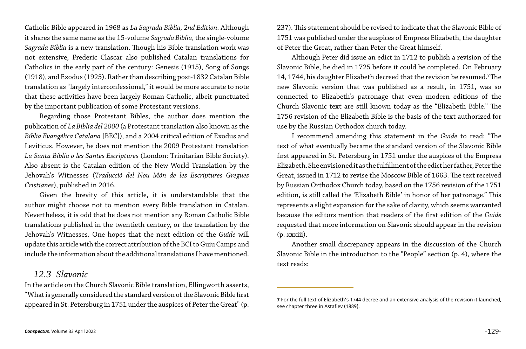Catholic Bible appeared in 1968 as *La Sagrada Bíblia, 2nd Edition*. Although it shares the same name as the 15-volume *Sagrada Biblia*, the single-volume *Sagrada Biblia* is a new translation. Though his Bible translation work was not extensive, Frederic Clascar also published Catalan translations for Catholics in the early part of the century: Genesis (1915), Song of Songs (1918), and Exodus (1925). Rather than describing post-1832 Catalan Bible translation as "largely interconfessional," it would be more accurate to note that these activities have been largely Roman Catholic, albeit punctuated by the important publication of some Protestant versions.

Regarding those Protestant Bibles, the author does mention the publication of *La Biblia del 2000* (a Protestant translation also known as the *Bíblia Evangèlica Catalana* [BEC]), and a 2004 critical edition of Exodus and Leviticus. However, he does not mention the 2009 Protestant translation *La Santa Bíblia o les Santes Escriptures* (London: Trinitarian Bible Society). Also absent is the Catalan edition of the New World Translation by the Jehovah's Witnesses (*Traducció del Nou Món de les Escriptures Gregues Cristianes*), published in 2016.

Given the brevity of this article, it is understandable that the author might choose not to mention every Bible translation in Catalan. Nevertheless, it is odd that he does not mention any Roman Catholic Bible translations published in the twentieth century, or the translation by the Jehovah's Witnesses. One hopes that the next edition of the *Guide* will update this article with the correct attribution of the BCI to Guiu Camps and include the information about the additional translations I have mentioned.

#### *12.3 Slavonic*

In the article on the Church Slavonic Bible translation, Ellingworth asserts, "What is generally considered the standard version of the Slavonic Bible first appeared in St. Petersburg in 1751 under the auspices of Peter the Great" (p.

237). This statement should be revised to indicate that the Slavonic Bible of 1751 was published under the auspices of Empress Elizabeth, the daughter of Peter the Great, rather than Peter the Great himself.

Although Peter did issue an edict in 1712 to publish a revision of the Slavonic Bible, he died in 1725 before it could be completed. On February 14, 1744, his daughter Elizabeth decreed that the revision be resumed.7 The new Slavonic version that was published as a result, in 1751, was so connected to Elizabeth's patronage that even modern editions of the Church Slavonic text are still known today as the "Elizabeth Bible." The 1756 revision of the Elizabeth Bible is the basis of the text authorized for use by the Russian Orthodox church today.

I recommend amending this statement in the *Guide* to read: "The text of what eventually became the standard version of the Slavonic Bible first appeared in St. Petersburg in 1751 under the auspices of the Empress Elizabeth. She envisioned it as the fulfillment of the edict her father, Peter the Great, issued in 1712 to revise the Moscow Bible of 1663. The text received by Russian Orthodox Church today, based on the 1756 revision of the 1751 edition, is still called the 'Elizabeth Bible' in honor of her patronage." This represents a slight expansion for the sake of clarity, which seems warranted because the editors mention that readers of the first edition of the *Guide* requested that more information on Slavonic should appear in the revision (p. xxxiii).

Another small discrepancy appears in the discussion of the Church Slavonic Bible in the introduction to the "People" section (p. 4), where the text reads:

**7** For the full text of Elizabeth's 1744 decree and an extensive analysis of the revision it launched,

see chapter three in Astafiev (1889).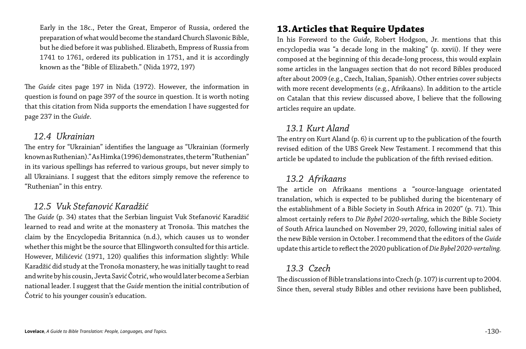Early in the 18c., Peter the Great, Emperor of Russia, ordered the preparation of what would become the standard Church Slavonic Bible, but he died before it was published. Elizabeth, Empress of Russia from 1741 to 1761, ordered its publication in 1751, and it is accordingly known as the "Bible of Elizabeth." (Nida 1972, 197)

The *Guide* cites page 197 in Nida (1972). However, the information in question is found on page 397 of the source in question. It is worth noting that this citation from Nida supports the emendation I have suggested for page 237 in the *Guide*.

#### *12.4 Ukrainian*

The entry for "Ukrainian" identifies the language as "Ukrainian (formerly known as Ruthenian)." As Himka (1996) demonstrates, the term "Ruthenian" in its various spellings has referred to various groups, but never simply to all Ukrainians. I suggest that the editors simply remove the reference to "Ruthenian" in this entry.

#### *12.5 Vuk Stefanović Karadžić*

The *Guide* (p. 34) states that the Serbian linguist Vuk Stefanović Karadžić learned to read and write at the monastery at Tronoša. This matches the claim by the Encyclopedia Britannica (n.d.), which causes us to wonder whether this might be the source that Ellingworth consulted for this article. However, Milićević (1971, 120) qualifies this information slightly: While Karadžić did study at the Tronoša monastery, he was initially taught to read and write by his cousin, Jevta Savić Čotrić, who would later become a Serbian national leader. I suggest that the *Guide* mention the initial contribution of Čotrić to his younger cousin's education.

# **13.Articles that Require Updates**

In his Foreword to the *Guide*, Robert Hodgson, Jr. mentions that this encyclopedia was "a decade long in the making" (p. xxvii). If they were composed at the beginning of this decade-long process, this would explain some articles in the languages section that do not record Bibles produced after about 2009 (e.g., Czech, Italian, Spanish). Other entries cover subjects with more recent developments (e.g., Afrikaans). In addition to the article on Catalan that this review discussed above, I believe that the following articles require an update.

#### *13.1 Kurt Aland*

The entry on Kurt Aland (p. 6) is current up to the publication of the fourth revised edition of the UBS Greek New Testament. I recommend that this article be updated to include the publication of the fifth revised edition.

### *13.2 Afrikaans*

The article on Afrikaans mentions a "source-language orientated translation, which is expected to be published during the bicentenary of the establishment of a Bible Society in South Africa in 2020" (p. 71). This almost certainly refers to *Die Bybel 2020-vertaling*, which the Bible Society of South Africa launched on November 29, 2020, following initial sales of the new Bible version in October. I recommend that the editors of the *Guide* update this article to reflect the 2020 publication of *Die Bybel 2020-vertaling.*

#### *13.3 Czech*

The discussion of Bible translations into Czech (p. 107) is current up to 2004. Since then, several study Bibles and other revisions have been published,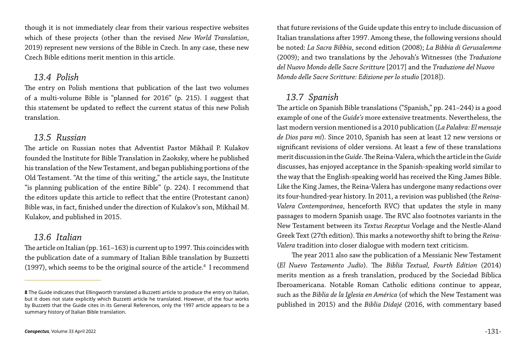though it is not immediately clear from their various respective websites which of these projects (other than the revised *New World Translation*, 2019) represent new versions of the Bible in Czech. In any case, these new Czech Bible editions merit mention in this article.

#### *13.4 Polish*

The entry on Polish mentions that publication of the last two volumes of a multi-volume Bible is "planned for 2016" (p. 215). I suggest that this statement be updated to reflect the current status of this new Polish translation.

#### *13.5 Russian*

The article on Italian (pp. 161–163) is current up to 1997. This coincides with the publication date of a summary of Italian Bible translation by Buzzetti (1997), which seems to be the original source of the article. $8\,$  I recommend

The article on Russian notes that Adventist Pastor Mikhail P. Kulakov founded the Institute for Bible Translation in Zaoksky, where he published his translation of the New Testament, and began publishing portions of the Old Testament. "At the time of this writing," the article says, the Institute "is planning publication of the entire Bible" (p. 224). I recommend that the editors update this article to reflect that the entire (Protestant canon) Bible was, in fact, finished under the direction of Kulakov's son, Mikhail M. Kulakov, and published in 2015.

#### *13.6 Italian*

that future revisions of the Guide update this entry to include discussion of Italian translations after 1997. Among these, the following versions should be noted: *La Sacra Bibbia*, second edition (2008); *La Bibbia di Gerusalemme*  (2009); and two translations by the Jehovah's Witnesses (the *Traduzione del Nuovo Mondo delle Sacre Scritture* [2017] and the *Traduzione del Nuovo Mondo delle Sacre Scritture: Edizione per lo studio* [2018]).

#### *13.7 Spanish*

The article on Spanish Bible translations ("Spanish," pp. 241–244) is a good example of one of the *Guide's* more extensive treatments. Nevertheless, the last modern version mentioned is a 2010 publication (*La Palabra: El mensaje de Dios para mí*). Since 2010, Spanish has seen at least 12 new versions or significant revisions of older versions. At least a few of these translations merit discussion in the *Guide*. The Reina-Valera, which the article in the *Guide* discusses, has enjoyed acceptance in the Spanish-speaking world similar to the way that the English-speaking world has received the King James Bible. Like the King James, the Reina-Valera has undergone many redactions over its four-hundred-year history. In 2011, a revision was published (the *Reina-Valera Contemporánea*, henceforth RVC) that updates the style in many passages to modern Spanish usage. The RVC also footnotes variants in the New Testament between its *Textus Receptus* Vorlage and the Nestle-Aland Greek Text (27th edition). This marks a noteworthy shift to bring the *Reina-Valera* tradition into closer dialogue with modern text criticism.

The year 2011 also saw the publication of a Messianic New Testament (*El Nuevo Testamento Judío*). The *Biblia Textual, Fourth Edition* (2014) merits mention as a fresh translation, produced by the Sociedad Bíblica Iberoamericana. Notable Roman Catholic editions continue to appear, such as the *Biblia de la Iglesia en América* (of which the New Testament was published in 2015) and the *Biblia Didajé* (2016, with commentary based

**<sup>8</sup>** The Guide indicates that Ellingworth translated a Buzzetti article to produce the entry on Italian, but it does not state explicitly which Buzzetti article he translated. However, of the four works by Buzzetti that the Guide cites in its General References, only the 1997 article appears to be a summary history of Italian Bible translation.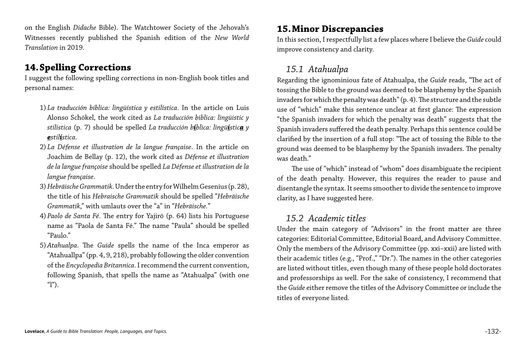on the English *Didache* Bible). The Watchtower Society of the Jehovah's Witnesses recently published the Spanish edition of the *New World Translation* in 2019.

#### **14.Spelling Corrections**

I suggest the following spelling corrections in non-English book titles and personal names:

- 1) *La traducción bíblica: lingüística y estilística*. In the article on Luis Alonso Schökel, the work cited as *La traducción biblica: lingüistic y stilistica* (p. 7) should be spelled *La traducción bíblica: lingüística y estilística.*
- 2) *La Défense et illustration de la langue française*. In the article on Joachim de Bellay (p. 12), the work cited as *Défense et illustration de la langue françoise* should be spelled *La Défense et illustration de la langue française*.
- 3) *Hebräische Grammatik*. Under the entry for Wilhelm Gesenius (p. 28), the title of his *Hebraische Grammatik* should be spelled "*Hebräische Grammatik*," with umlauts over the "a" in "*Hebräische.*"
- 4) *Paolo de Santa Fé*. The entry for Yajirō (p. 64) lists his Portuguese name as "Paola de Santa Fé." The name "Paula" should be spelled "Paulo."
- 5) *Atahualpa*. The *Guide* spells the name of the Inca emperor as "Atahuallpa" (pp. 4, 9, 218), probably following the older convention of the *Encyclopedia Britannica*. I recommend the current convention, following Spanish, that spells the name as "Atahualpa" (with one "l").

# **15.Minor Discrepancies**

In this section, I respectfully list a few places where I believe the *Guide* could improve consistency and clarity.

#### *15.1 Atahualpa*

Regarding the ignominious fate of Atahualpa, the *Guide* reads, "The act of tossing the Bible to the ground was deemed to be blasphemy by the Spanish invaders for which the penalty was death" (p. 4). The structure and the subtle use of "which" make this sentence unclear at first glance: The expression "the Spanish invaders for which the penalty was death" suggests that the Spanish invaders suffered the death penalty. Perhaps this sentence could be clarified by the insertion of a full stop: "The act of tossing the Bible to the ground was deemed to be blasphemy by the Spanish invaders. The penalty was death."

The use of "which" instead of "whom" does disambiguate the recipient of the death penalty. However, this requires the reader to pause and disentangle the syntax. It seems smoother to divide the sentence to improve clarity, as I have suggested here.

#### *15.2 Academic titles*

Under the main category of "Advisors" in the front matter are three categories: Editorial Committee, Editorial Board, and Advisory Committee. Only the members of the Advisory Committee (pp. xxi–xxii) are listed with their academic titles (e.g., "Prof.," "Dr."). The names in the other categories are listed without titles, even though many of these people hold doctorates and professorships as well. For the sake of consistency, I recommend that the *Guide* either remove the titles of the Advisory Committee or include the titles of everyone listed.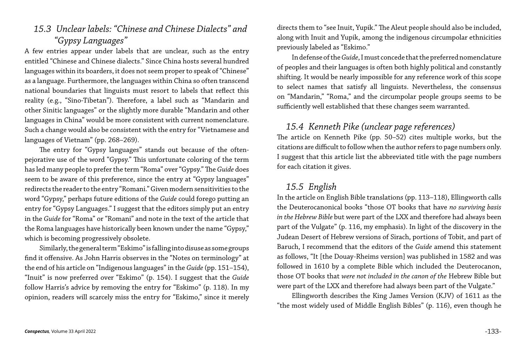#### *15.3 Unclear labels: "Chinese and Chinese Dialects" and "Gypsy Languages"*

A few entries appear under labels that are unclear, such as the entry entitled "Chinese and Chinese dialects." Since China hosts several hundred languages within its boarders, it does not seem proper to speak of "Chinese" as a language. Furthermore, the languages within China so often transcend national boundaries that linguists must resort to labels that reflect this reality (e.g., "Sino-Tibetan"). Therefore, a label such as "Mandarin and other Sinitic languages" or the slightly more durable "Mandarin and other languages in China" would be more consistent with current nomenclature. Such a change would also be consistent with the entry for "Vietnamese and languages of Vietnam" (pp. 268–269).

The entry for "Gypsy languages" stands out because of the oftenpejorative use of the word "Gypsy." This unfortunate coloring of the term has led many people to prefer the term "Roma" over "Gypsy." The *Guide* does seem to be aware of this preference, since the entry at "Gypsy languages" redirects the reader to the entry "Romani." Given modern sensitivities to the word "Gypsy," perhaps future editions of the *Guide* could forego putting an entry for "Gypsy Languages." I suggest that the editors simply put an entry in the *Guide* for "Roma" or "Romani" and note in the text of the article that the Roma languages have historically been known under the name "Gypsy," which is becoming progressively obsolete.

Similarly, the general term "Eskimo" is falling into disuse as some groups find it offensive. As John Harris observes in the "Notes on terminology" at the end of his article on "Indigenous languages" in the *Guide* (pp. 151–154), "Inuit" is now preferred over "Eskimo" (p. 154). I suggest that the *Guide* follow Harris's advice by removing the entry for "Eskimo" (p. 118). In my opinion, readers will scarcely miss the entry for "Eskimo," since it merely directs them to "see Inuit, Yupik." The Aleut people should also be included, along with Inuit and Yupik, among the indigenous circumpolar ethnicities previously labeled as "Eskimo."

In defense of the *Guide*, I must concede that the preferred nomenclature of peoples and their languages is often both highly political and constantly shifting. It would be nearly impossible for any reference work of this scope to select names that satisfy all linguists. Nevertheless, the consensus on "Mandarin," "Roma," and the circumpolar people groups seems to be sufficiently well established that these changes seem warranted.

*15.4 Kenneth Pike (unclear page references)* The article on Kenneth Pike (pp. 50–52) cites multiple works, but the citations are difficult to follow when the author refers to page numbers only. I suggest that this article list the abbreviated title with the page numbers for each citation it gives.

#### *15.5 English*

In the article on English Bible translations (pp. 113–118), Ellingworth calls the Deuterocanonical books "those OT books that have *no surviving basis in the Hebrew Bible* but were part of the LXX and therefore had always been part of the Vulgate" (p. 116, my emphasis). In light of the discovery in the Judean Desert of Hebrew versions of Sirach, portions of Tobit, and part of Baruch, I recommend that the editors of the *Guide* amend this statement as follows, "It [the Douay-Rheims version] was published in 1582 and was followed in 1610 by a complete Bible which included the Deuterocanon, those OT books that *were not included in the canon of the* Hebrew Bible but were part of the LXX and therefore had always been part of the Vulgate." Ellingworth describes the King James Version (KJV) of 1611 as the "the most widely used of Middle English Bibles" (p. 116), even though he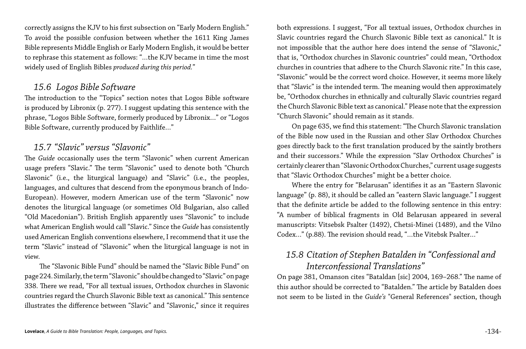correctly assigns the KJV to his first subsection on "Early Modern English." To avoid the possible confusion between whether the 1611 King James Bible represents Middle English or Early Modern English, it would be better to rephrase this statement as follows: "…the KJV became in time the most widely used of English Bibles *produced during this period.*"

#### *15.6 Logos Bible Software*

The introduction to the "Topics" section notes that Logos Bible software is produced by Libronix (p. 277). I suggest updating this sentence with the phrase, "Logos Bible Software, formerly produced by Libronix…" or "Logos Bible Software, currently produced by Faithlife…"

#### *15.7 "Slavic" versus "Slavonic"*

The *Guide* occasionally uses the term "Slavonic" when current American usage prefers "Slavic." The term "Slavonic" used to denote both "Church Slavonic" (i.e., the liturgical language) and "Slavic" (i.e., the peoples, languages, and cultures that descend from the eponymous branch of Indo-European). However, modern American use of the term "Slavonic" now denotes the liturgical language (or sometimes Old Bulgarian, also called "Old Macedonian"). British English apparently uses "Slavonic" to include what American English would call "Slavic." Since the *Guide* has consistently used American English conventions elsewhere, I recommend that it use the term "Slavic" instead of "Slavonic" when the liturgical language is not in view.

The "Slavonic Bible Fund" should be named the "Slavic Bible Fund" on page 224. Similarly, the term "Slavonic" should be changed to "Slavic" on page 338. There we read, "For all textual issues, Orthodox churches in Slavonic countries regard the Church Slavonic Bible text as canonical." This sentence illustrates the difference between "Slavic" and "Slavonic," since it requires

both expressions. I suggest, "For all textual issues, Orthodox churches in Slavic countries regard the Church Slavonic Bible text as canonical." It is not impossible that the author here does intend the sense of "Slavonic," that is, "Orthodox churches in Slavonic countries" could mean, "Orthodox churches in countries that adhere to the Church Slavonic rite." In this case, "Slavonic" would be the correct word choice. However, it seems more likely that "Slavic" is the intended term. The meaning would then approximately be, "Orthodox churches in ethnically and culturally Slavic countries regard the Church Slavonic Bible text as canonical." Please note that the expression "Church Slavonic" should remain as it stands.

On page 635, we find this statement: "The Church Slavonic translation of the Bible now used in the Russian and other Slav Orthodox Churches goes directly back to the first translation produced by the saintly brothers and their successors." While the expression "Slav Orthodox Churches" is certainly clearer than "Slavonic Orthodox Churches," current usage suggests that "Slavic Orthodox Churches" might be a better choice.

Where the entry for "Belarusan" identifies it as an "Eastern Slavonic language" (p. 88), it should be called an "eastern Slavic language." I suggest that the definite article be added to the following sentence in this entry: "A number of biblical fragments in Old Belarusan appeared in several manuscripts: Vitsebsk Psalter (1492), Chetsi-Minei (1489), and the Vilno Codex…" (p.88). The revision should read, "…the Vitebsk Psalter…"

# *15.8 Citation of Stephen Batalden in "Confessional and Interconfessional Translations"*

On page 381, Omanson cites "Bataldan [sic] 2004, 169–268." The name of this author should be corrected to "Batalden." The article by Batalden does not seem to be listed in the *Guide's* "General References" section, though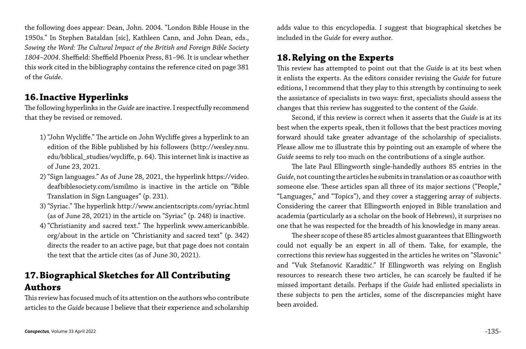the following does appear: Dean, John. 2004. "London Bible House in the 1950s." In Stephen Bataldan [sic], Kathleen Cann, and John Dean, eds., *Sowing the Word: The Cultural Impact of the British and Foreign Bible Society 1804–2004*. Sheffield: Sheffield Phoenix Press, 81–96. It is unclear whether this work cited in the bibliography contains the reference cited on page 381 of the *Guide*.

### **16.Inactive Hyperlinks**

The following hyperlinks in the *Guide* are inactive. I respectfully recommend that they be revised or removed.

- 1)"John Wycliffe." The article on John Wycliffe gives a hyperlink to an edition of the Bible published by his followers (http://wesley.nnu. edu/biblical\_studies/wycliffe, p. 64). This internet link is inactive as of June 23, 2021.
- 2)"Sign languages." As of June 28, 2021, the hyperlink https://video. deafbiblesociety.com/ismilmo is inactive in the article on "Bible Translation in Sign Languages" (p. 231).
- 3)"Syriac." The hyperlink http://www.ancientscripts.com/syriac.html (as of June 28, 2021) in the article on "Syriac" (p. 248) is inactive.
- 4)"Christianity and sacred text." The hyperlink www.americanbible. org/about in the article on "Christianity and sacred text" (p. 342) directs the reader to an active page, but that page does not contain the text that the article cites (as of June 30, 2021).

### **17.Biographical Sketches for All Contributing Authors**

This review has focused much of its attention on the authors who contribute articles to the *Guide* because I believe that their experience and scholarship

adds value to this encyclopedia. I suggest that biographical sketches be included in the *Guide* for every author.

### **18.Relying on the Experts**

This review has attempted to point out that the *Guide* is at its best when it enlists the experts. As the editors consider revising the *Guide* for future editions, I recommend that they play to this strength by continuing to seek the assistance of specialists in two ways: first, specialists should assess the changes that this review has suggested to the content of the *Guide*.

Second, if this review is correct when it asserts that the *Guide* is at its best when the experts speak, then it follows that the best practices moving forward should take greater advantage of the scholarship of specialists. Please allow me to illustrate this by pointing out an example of where the *Guide* seems to rely too much on the contributions of a single author.

The late Paul Ellingworth single-handedly authors 85 entries in the The sheer scope of these 85 articles almost guarantees that Ellingworth

*Guide*, not counting the articles he submits in translation or as coauthor with someone else. These articles span all three of its major sections ("People," "Languages," and "Topics"), and they cover a staggering array of subjects. Considering the career that Ellingworth enjoyed in Bible translation and academia (particularly as a scholar on the book of Hebrews), it surprises no one that he was respected for the breadth of his knowledge in many areas. could not equally be an expert in all of them. Take, for example, the corrections this review has suggested in the articles he writes on "Slavonic" and "Vuk Stefanović Karadžić." If Ellingworth was relying on English resources to research these two articles, he can scarcely be faulted if he missed important details. Perhaps if the *Guide* had enlisted specialists in these subjects to pen the articles, some of the discrepancies might have been avoided.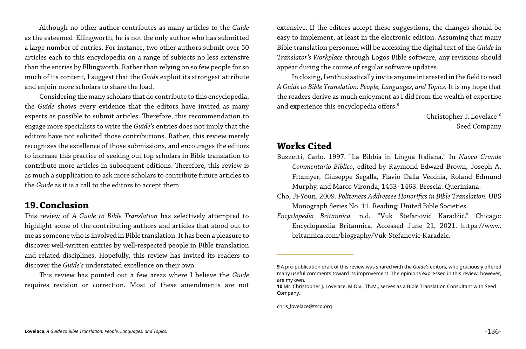Although no other author contributes as many articles to the *Guide* as the esteemed Ellingworth, he is not the only author who has submitted a large number of entries. For instance, two other authors submit over 50 articles each to this encyclopedia on a range of subjects no less extensive than the entries by Ellingworth. Rather than relying on so few people for so much of its content, I suggest that the *Guide* exploit its strongest attribute and enjoin more scholars to share the load.

Considering the many scholars that do contribute to this encyclopedia, the *Guide* shows every evidence that the editors have invited as many experts as possible to submit articles. Therefore, this recommendation to engage more specialists to write the *Guide's* entries does not imply that the editors have not solicited those contributions. Rather, this review merely recognizes the excellence of those submissions, and encourages the editors to increase this practice of seeking out top scholars in Bible translation to contribute more articles in subsequent editions. Therefore, this review is as much a supplication to ask more scholars to contribute future articles to the *Guide* as it is a call to the editors to accept them.

In closing, I enthusiastically invite anyone interested in the field to read *A Guide to Bible Translation: People, Languages, and Topics.* It is my hope that the readers derive as much enjoyment as I did from the wealth of expertise and experience this encyclopedia offers.<sup>9</sup>

> Christopher J. Lovelace<sup>10</sup> Seed Company

#### **19.Conclusion**

This review of *A Guide to Bible Translation* has selectively attempted to highlight some of the contributing authors and articles that stood out to me as someone who is involved in Bible translation. It has been a pleasure to discover well-written entries by well-respected people in Bible translation and related disciplines. Hopefully, this review has invited its readers to discover the *Guide's* understated excellence on their own.

This review has pointed out a few areas where I believe the *Guide* requires revision or correction. Most of these amendments are not extensive. If the editors accept these suggestions, the changes should be easy to implement, at least in the electronic edition. Assuming that many Bible translation personnel will be accessing the digital text of the *Guide* in *Translator's Workplace* through Logos Bible software, any revisions should appear during the course of regular software updates.

#### **Works Cited**

Buzzetti, Carlo. 1997. "La Bibbia in Lingua Italiana." In *Nuovo Grande Commentario Biblico*, edited by Raymond Edward Brown, Joseph A. Fitzmyer, Giuseppe Segalla, Flavio Dalla Vecchia, Roland Edmund Murphy, and Marco Vironda, 1453–1463. Brescia: Queriniana. Cho, Ji-Youn. 2009. *Politeness Addressee Honorifics in Bible Translation.* UBS Monograph Series No. 11. Reading: United Bible Societies. *Encyclopedia Britannica.* n.d. "Vuk Stefanović Karadžić." Chicago: Encyclopaedia Britannica. Accessed June 21, 2021. https://www. britannica.com/biography/Vuk-Stefanovic-Karadzic.

**9** A pre-publication draft of this review was shared with the *Guide's* editors, who graciously offered many useful comments toward its improvement. The opinions expressed in this review, however,

**10** Mr. Christopher J. Lovelace, M.Div., Th.M., serves as a Bible Translation Consultant with Seed

chris\_lovelace@tsco.org

are my own.

Company.